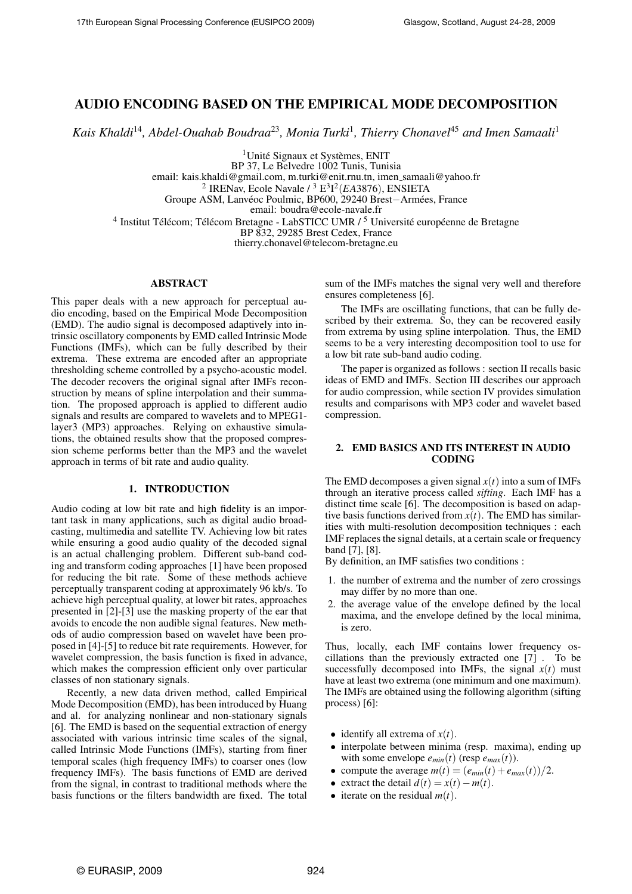# AUDIO ENCODING BASED ON THE EMPIRICAL MODE DECOMPOSITION

*Kais Khaldi*<sup>14</sup>*, Abdel-Ouahab Boudraa*<sup>23</sup>*, Monia Turki*<sup>1</sup> *, Thierry Chonavel*<sup>45</sup> *and Imen Samaali*<sup>1</sup>

 $1$ Unité Signaux et Systèmes, ENIT

BP 37, Le Belvedre 1002 Tunis, Tunisia email: kais.khaldi@gmail.com, m.turki@enit.rnu.tn, imen samaali@yahoo.fr

2 IRENav, Ecole Navale / <sup>3</sup> E 3 I 2 (*EA*3876), ENSIETA

Groupe ASM, Lanvéoc Poulmic, BP600, 29240 Brest-Armées, France

email: boudra@ecole-navale.fr

<sup>4</sup> Institut Télécom; Télécom Bretagne - LabSTICC UMR / <sup>5</sup> Université européenne de Bretagne

BP 832, 29285 Brest Cedex, France

thierry.chonavel@telecom-bretagne.eu

## ABSTRACT

This paper deals with a new approach for perceptual audio encoding, based on the Empirical Mode Decomposition (EMD). The audio signal is decomposed adaptively into intrinsic oscillatory components by EMD called Intrinsic Mode Functions (IMFs), which can be fully described by their extrema. These extrema are encoded after an appropriate thresholding scheme controlled by a psycho-acoustic model. The decoder recovers the original signal after IMFs reconstruction by means of spline interpolation and their summation. The proposed approach is applied to different audio signals and results are compared to wavelets and to MPEG1 layer3 (MP3) approaches. Relying on exhaustive simulations, the obtained results show that the proposed compression scheme performs better than the MP3 and the wavelet approach in terms of bit rate and audio quality.

# 1. INTRODUCTION

Audio coding at low bit rate and high fidelity is an important task in many applications, such as digital audio broadcasting, multimedia and satellite TV. Achieving low bit rates while ensuring a good audio quality of the decoded signal is an actual challenging problem. Different sub-band coding and transform coding approaches [1] have been proposed for reducing the bit rate. Some of these methods achieve perceptually transparent coding at approximately 96 kb/s. To achieve high perceptual quality, at lower bit rates, approaches presented in [2]-[3] use the masking property of the ear that avoids to encode the non audible signal features. New methods of audio compression based on wavelet have been proposed in [4]-[5] to reduce bit rate requirements. However, for wavelet compression, the basis function is fixed in advance, which makes the compression efficient only over particular classes of non stationary signals.

Recently, a new data driven method, called Empirical Mode Decomposition (EMD), has been introduced by Huang and al. for analyzing nonlinear and non-stationary signals [6]. The EMD is based on the sequential extraction of energy associated with various intrinsic time scales of the signal, called Intrinsic Mode Functions (IMFs), starting from finer temporal scales (high frequency IMFs) to coarser ones (low frequency IMFs). The basis functions of EMD are derived from the signal, in contrast to traditional methods where the basis functions or the filters bandwidth are fixed. The total sum of the IMFs matches the signal very well and therefore ensures completeness [6].

The IMFs are oscillating functions, that can be fully described by their extrema. So, they can be recovered easily from extrema by using spline interpolation. Thus, the EMD seems to be a very interesting decomposition tool to use for a low bit rate sub-band audio coding.

The paper is organized as follows : section II recalls basic ideas of EMD and IMFs. Section III describes our approach for audio compression, while section IV provides simulation results and comparisons with MP3 coder and wavelet based compression.

# 2. EMD BASICS AND ITS INTEREST IN AUDIO CODING

The EMD decomposes a given signal  $x(t)$  into a sum of IMFs through an iterative process called *sifting*. Each IMF has a distinct time scale [6]. The decomposition is based on adaptive basis functions derived from  $x(t)$ . The EMD has similarities with multi-resolution decomposition techniques : each IMF replaces the signal details, at a certain scale or frequency band [7], [8].

By definition, an IMF satisfies two conditions :

- 1. the number of extrema and the number of zero crossings may differ by no more than one.
- 2. the average value of the envelope defined by the local maxima, and the envelope defined by the local minima, is zero.

Thus, locally, each IMF contains lower frequency oscillations than the previously extracted one [7] . To be successfully decomposed into IMFs, the signal  $x(t)$  must have at least two extrema (one minimum and one maximum). The IMFs are obtained using the following algorithm (sifting process) [6]:

- identify all extrema of  $x(t)$ .
- interpolate between minima (resp. maxima), ending up with some envelope  $e_{min}(t)$  (resp  $e_{max}(t)$ ).
- compute the average  $m(t) = (e_{min}(t) + e_{max}(t))/2$ .
- extract the detail  $d(t) = x(t) m(t)$ .
- iterate on the residual  $m(t)$ .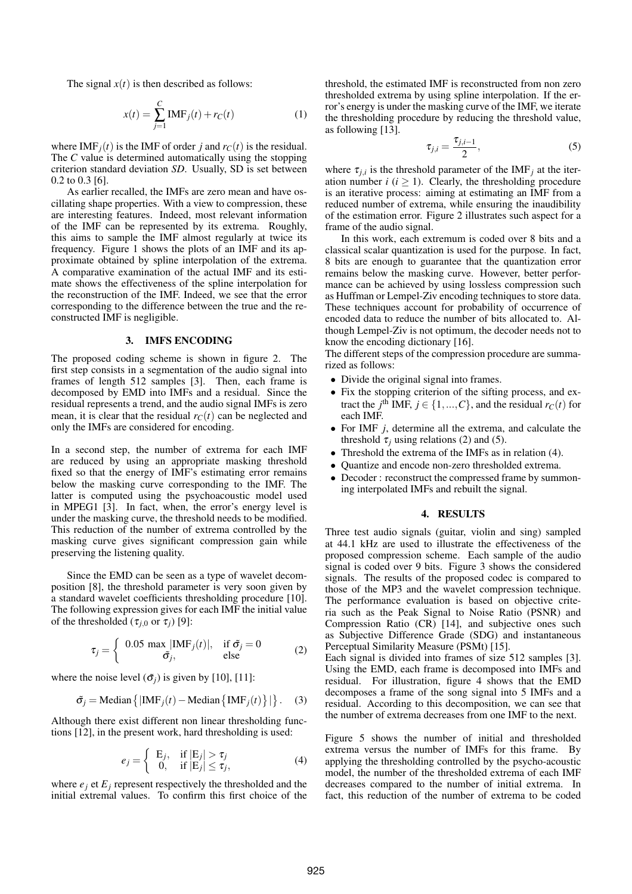The signal  $x(t)$  is then described as follows:

$$
x(t) = \sum_{j=1}^{C} \text{IMF}_{j}(t) + r_{C}(t)
$$
 (1)

where IMF<sub>*i*</sub>(*t*) is the IMF of order *j* and  $r_C(t)$  is the residual. The *C* value is determined automatically using the stopping criterion standard deviation *SD*. Usually, SD is set between 0.2 to 0.3 [6].

As earlier recalled, the IMFs are zero mean and have oscillating shape properties. With a view to compression, these are interesting features. Indeed, most relevant information of the IMF can be represented by its extrema. Roughly, this aims to sample the IMF almost regularly at twice its frequency. Figure 1 shows the plots of an IMF and its approximate obtained by spline interpolation of the extrema. A comparative examination of the actual IMF and its estimate shows the effectiveness of the spline interpolation for the reconstruction of the IMF. Indeed, we see that the error corresponding to the difference between the true and the reconstructed IMF is negligible.

#### 3. IMFS ENCODING

The proposed coding scheme is shown in figure 2. The first step consists in a segmentation of the audio signal into frames of length 512 samples [3]. Then, each frame is decomposed by EMD into IMFs and a residual. Since the residual represents a trend, and the audio signal IMFs is zero mean, it is clear that the residual  $r<sub>C</sub>(t)$  can be neglected and only the IMFs are considered for encoding.

In a second step, the number of extrema for each IMF are reduced by using an appropriate masking threshold fixed so that the energy of IMF's estimating error remains below the masking curve corresponding to the IMF. The latter is computed using the psychoacoustic model used in MPEG1 [3]. In fact, when, the error's energy level is under the masking curve, the threshold needs to be modified. This reduction of the number of extrema controlled by the masking curve gives significant compression gain while preserving the listening quality.

Since the EMD can be seen as a type of wavelet decomposition [8], the threshold parameter is very soon given by a standard wavelet coefficients thresholding procedure [10]. The following expression gives for each IMF the initial value of the thresholded ( $\tau_{i,0}$  or  $\tau_i$ ) [9]:

$$
\tau_j = \begin{cases} 0.05 \, \max_{\tilde{\sigma}_j} |\text{IMF}_j(t)|, & \text{if } \tilde{\sigma}_j = 0 \\ \tilde{\sigma}_j, & \text{else} \end{cases} \tag{2}
$$

where the noise level  $(\tilde{\sigma}_j)$  is given by [10], [11]:

$$
\tilde{\sigma}_j = \text{Median}\left\{|\text{IMF}_j(t) - \text{Median}\left\{\text{IMF}_j(t)\right\}|\right\}. (3)
$$

Although there exist different non linear thresholding functions [12], in the present work, hard thresholding is used:

$$
e_j = \begin{cases} E_j, & \text{if } |E_j| > \tau_j \\ 0, & \text{if } |E_j| \le \tau_j, \end{cases}
$$
 (4)

where  $e_i$  et  $E_i$  represent respectively the thresholded and the initial extremal values. To confirm this first choice of the

threshold, the estimated IMF is reconstructed from non zero thresholded extrema by using spline interpolation. If the error's energy is under the masking curve of the IMF, we iterate the thresholding procedure by reducing the threshold value, as following [13].

$$
\tau_{j,i} = \frac{\tau_{j,i-1}}{2},\tag{5}
$$

where  $\tau_{j,i}$  is the threshold parameter of the IMF<sub>j</sub> at the iteration number  $i$  ( $i > 1$ ). Clearly, the thresholding procedure is an iterative process: aiming at estimating an IMF from a reduced number of extrema, while ensuring the inaudibility of the estimation error. Figure 2 illustrates such aspect for a frame of the audio signal.

In this work, each extremum is coded over 8 bits and a classical scalar quantization is used for the purpose. In fact, 8 bits are enough to guarantee that the quantization error remains below the masking curve. However, better performance can be achieved by using lossless compression such as Huffman or Lempel-Ziv encoding techniques to store data. These techniques account for probability of occurrence of encoded data to reduce the number of bits allocated to. Although Lempel-Ziv is not optimum, the decoder needs not to know the encoding dictionary [16].

The different steps of the compression procedure are summarized as follows:

- Divide the original signal into frames.
- Fix the stopping criterion of the sifting process, and extract the *j*<sup>th</sup> IMF,  $j \in \{1, ..., C\}$ , and the residual  $r_C(t)$  for each IMF.
- For IMF *j*, determine all the extrema, and calculate the threshold  $\tau_i$  using relations (2) and (5).
- Threshold the extrema of the IMFs as in relation (4).
- Quantize and encode non-zero thresholded extrema.
- Decoder : reconstruct the compressed frame by summoning interpolated IMFs and rebuilt the signal.

## 4. RESULTS

Three test audio signals (guitar, violin and sing) sampled at 44.1 kHz are used to illustrate the effectiveness of the proposed compression scheme. Each sample of the audio signal is coded over 9 bits. Figure 3 shows the considered signals. The results of the proposed codec is compared to those of the MP3 and the wavelet compression technique. The performance evaluation is based on objective criteria such as the Peak Signal to Noise Ratio (PSNR) and Compression Ratio (CR) [14], and subjective ones such as Subjective Difference Grade (SDG) and instantaneous Perceptual Similarity Measure (PSMt) [15].

Each signal is divided into frames of size 512 samples [3]. Using the EMD, each frame is decomposed into IMFs and residual. For illustration, figure 4 shows that the EMD decomposes a frame of the song signal into 5 IMFs and a residual. According to this decomposition, we can see that the number of extrema decreases from one IMF to the next.

Figure 5 shows the number of initial and thresholded extrema versus the number of IMFs for this frame. By applying the thresholding controlled by the psycho-acoustic model, the number of the thresholded extrema of each IMF decreases compared to the number of initial extrema. In fact, this reduction of the number of extrema to be coded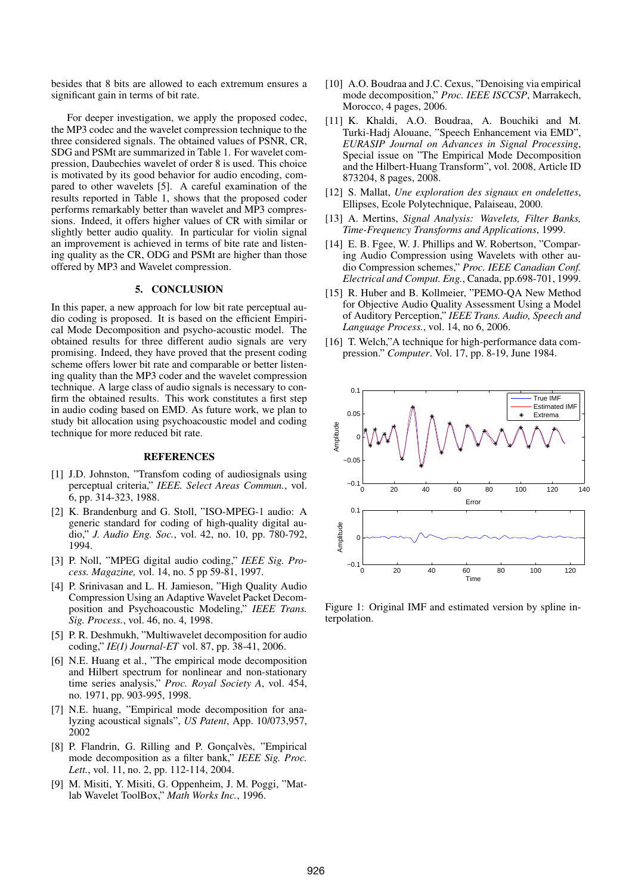besides that 8 bits are allowed to each extremum ensures a significant gain in terms of bit rate.

For deeper investigation, we apply the proposed codec, the MP3 codec and the wavelet compression technique to the three considered signals. The obtained values of PSNR, CR, SDG and PSMt are summarized in Table 1. For wavelet compression, Daubechies wavelet of order 8 is used. This choice is motivated by its good behavior for audio encoding, compared to other wavelets [5]. A careful examination of the results reported in Table 1, shows that the proposed coder performs remarkably better than wavelet and MP3 compressions. Indeed, it offers higher values of CR with similar or slightly better audio quality. In particular for violin signal an improvement is achieved in terms of bite rate and listening quality as the CR, ODG and PSMt are higher than those offered by MP3 and Wavelet compression.

## 5. CONCLUSION

In this paper, a new approach for low bit rate perceptual audio coding is proposed. It is based on the efficient Empirical Mode Decomposition and psycho-acoustic model. The obtained results for three different audio signals are very promising. Indeed, they have proved that the present coding scheme offers lower bit rate and comparable or better listening quality than the MP3 coder and the wavelet compression technique. A large class of audio signals is necessary to confirm the obtained results. This work constitutes a first step in audio coding based on EMD. As future work, we plan to study bit allocation using psychoacoustic model and coding technique for more reduced bit rate.

#### **REFERENCES**

- [1] J.D. Johnston, "Transfom coding of audiosignals using perceptual criteria," *IEEE. Select Areas Commun.*, vol. 6, pp. 314-323, 1988.
- [2] K. Brandenburg and G. Stoll, "ISO-MPEG-1 audio: A generic standard for coding of high-quality digital audio," *J. Audio Eng. Soc.*, vol. 42, no. 10, pp. 780-792, 1994.
- [3] P. Noll, "MPEG digital audio coding," *IEEE Sig. Process. Magazine,* vol. 14, no. 5 pp 59-81, 1997.
- [4] P. Srinivasan and L. H. Jamieson, "High Quality Audio Compression Using an Adaptive Wavelet Packet Decomposition and Psychoacoustic Modeling," *IEEE Trans. Sig. Process.*, vol. 46, no. 4, 1998.
- [5] P. R. Deshmukh, "Multiwavelet decomposition for audio coding," *IE(I) Journal-ET* vol. 87, pp. 38-41, 2006.
- [6] N.E. Huang et al., "The empirical mode decomposition and Hilbert spectrum for nonlinear and non-stationary time series analysis," *Proc. Royal Society A*, vol. 454, no. 1971, pp. 903-995, 1998.
- [7] N.E. huang, "Empirical mode decomposition for analyzing acoustical signals", *US Patent*, App. 10/073,957, 2002
- [8] P. Flandrin, G. Rilling and P. Gonçalvès, "Empirical mode decomposition as a filter bank," *IEEE Sig. Proc. Lett.*, vol. 11, no. 2, pp. 112-114, 2004.
- [9] M. Misiti, Y. Misiti, G. Oppenheim, J. M. Poggi, "Matlab Wavelet ToolBox," *Math Works Inc.*, 1996.
- [10] A.O. Boudraa and J.C. Cexus, "Denoising via empirical mode decomposition," *Proc. IEEE ISCCSP*, Marrakech, Morocco, 4 pages, 2006.
- [11] K. Khaldi, A.O. Boudraa, A. Bouchiki and M. Turki-Hadj Alouane, "Speech Enhancement via EMD", *EURASIP Journal on Advances in Signal Processing*, Special issue on "The Empirical Mode Decomposition and the Hilbert-Huang Transform", vol. 2008, Article ID 873204, 8 pages, 2008.
- [12] S. Mallat, *Une exploration des signaux en ondelettes*, Ellipses, Ecole Polytechnique, Palaiseau, 2000.
- [13] A. Mertins, *Signal Analysis: Wavelets, Filter Banks, Time-Frequency Transforms and Applications*, 1999.
- [14] E. B. Fgee, W. J. Phillips and W. Robertson, "Comparing Audio Compression using Wavelets with other audio Compression schemes," *Proc. IEEE Canadian Conf. Electrical and Comput. Eng.*, Canada, pp.698-701, 1999.
- [15] R. Huber and B. Kollmeier, "PEMO-QA New Method for Objective Audio Quality Assessment Using a Model of Auditory Perception," *IEEE Trans. Audio, Speech and Language Process.*, vol. 14, no 6, 2006.
- [16] T. Welch,"A technique for high-performance data compression." *Computer*. Vol. 17, pp. 8-19, June 1984.



Figure 1: Original IMF and estimated version by spline interpolation.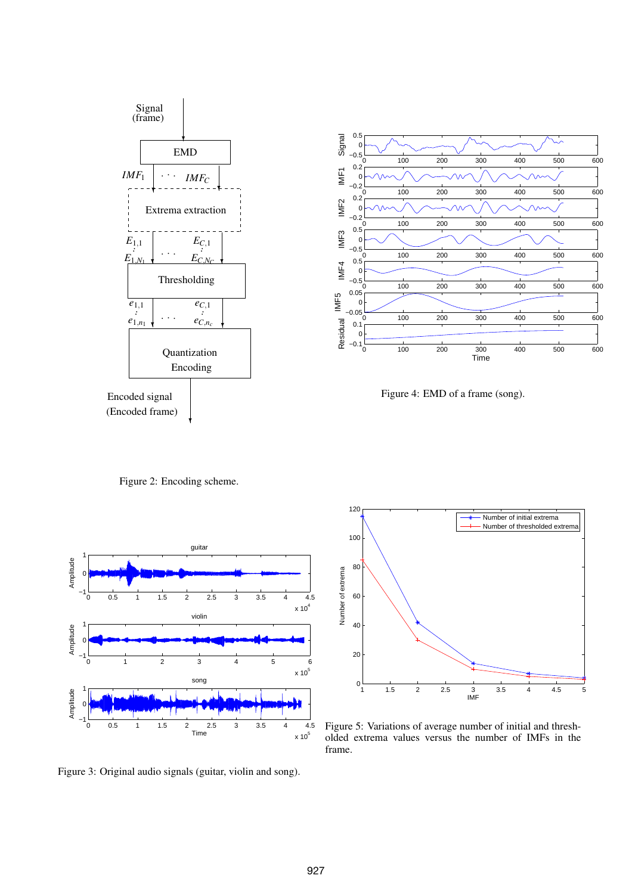



Figure 4: EMD of a frame (song).

Figure 2: Encoding scheme.



Figure 3: Original audio signals (guitar, violin and song).



Figure 5: Variations of average number of initial and thresholded extrema values versus the number of IMFs in the frame.